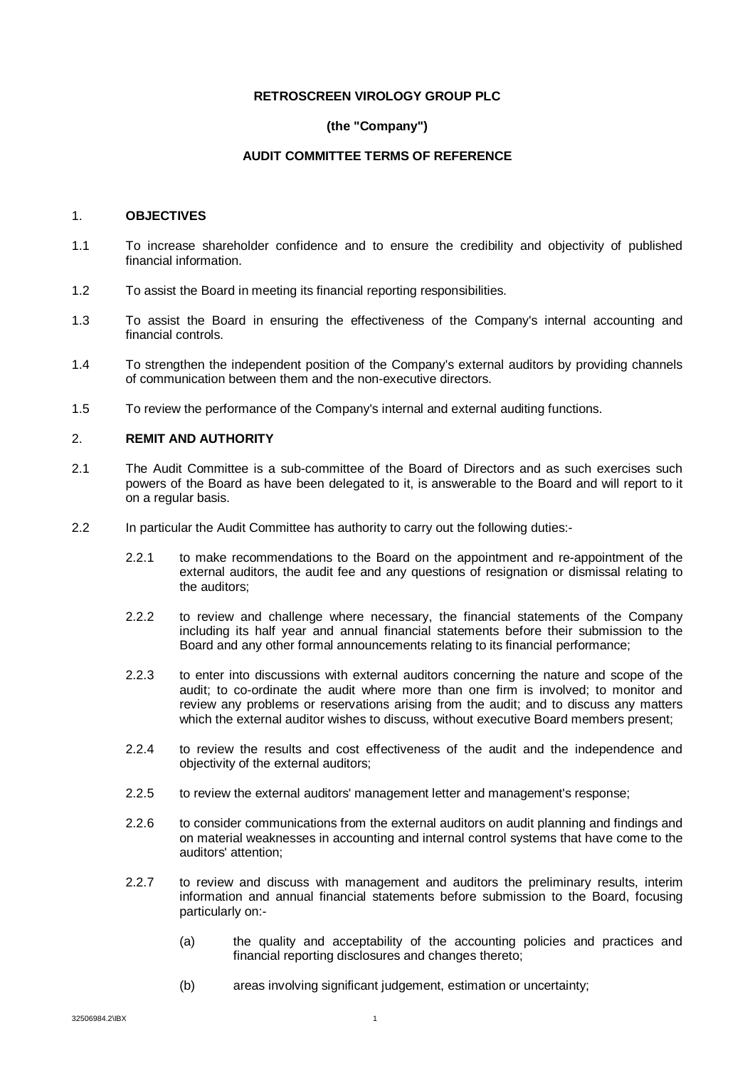#### **RETROSCREEN VIROLOGY GROUP PLC**

# **(the "Company")**

### **AUDIT COMMITTEE TERMS OF REFERENCE**

### 1. **OBJECTIVES**

- 1.1 To increase shareholder confidence and to ensure the credibility and objectivity of published financial information.
- 1.2 To assist the Board in meeting its financial reporting responsibilities.
- 1.3 To assist the Board in ensuring the effectiveness of the Company's internal accounting and financial controls.
- 1.4 To strengthen the independent position of the Company's external auditors by providing channels of communication between them and the non-executive directors.
- 1.5 To review the performance of the Company's internal and external auditing functions.

# 2. **REMIT AND AUTHORITY**

- 2.1 The Audit Committee is a sub-committee of the Board of Directors and as such exercises such powers of the Board as have been delegated to it, is answerable to the Board and will report to it on a regular basis.
- 2.2 In particular the Audit Committee has authority to carry out the following duties:-
	- 2.2.1 to make recommendations to the Board on the appointment and re-appointment of the external auditors, the audit fee and any questions of resignation or dismissal relating to the auditors;
	- 2.2.2 to review and challenge where necessary, the financial statements of the Company including its half year and annual financial statements before their submission to the Board and any other formal announcements relating to its financial performance;
	- 2.2.3 to enter into discussions with external auditors concerning the nature and scope of the audit; to co-ordinate the audit where more than one firm is involved; to monitor and review any problems or reservations arising from the audit; and to discuss any matters which the external auditor wishes to discuss, without executive Board members present;
	- 2.2.4 to review the results and cost effectiveness of the audit and the independence and objectivity of the external auditors;
	- 2.2.5 to review the external auditors' management letter and management's response;
	- 2.2.6 to consider communications from the external auditors on audit planning and findings and on material weaknesses in accounting and internal control systems that have come to the auditors' attention;
	- 2.2.7 to review and discuss with management and auditors the preliminary results, interim information and annual financial statements before submission to the Board, focusing particularly on:-
		- (a) the quality and acceptability of the accounting policies and practices and financial reporting disclosures and changes thereto;
		- (b) areas involving significant judgement, estimation or uncertainty;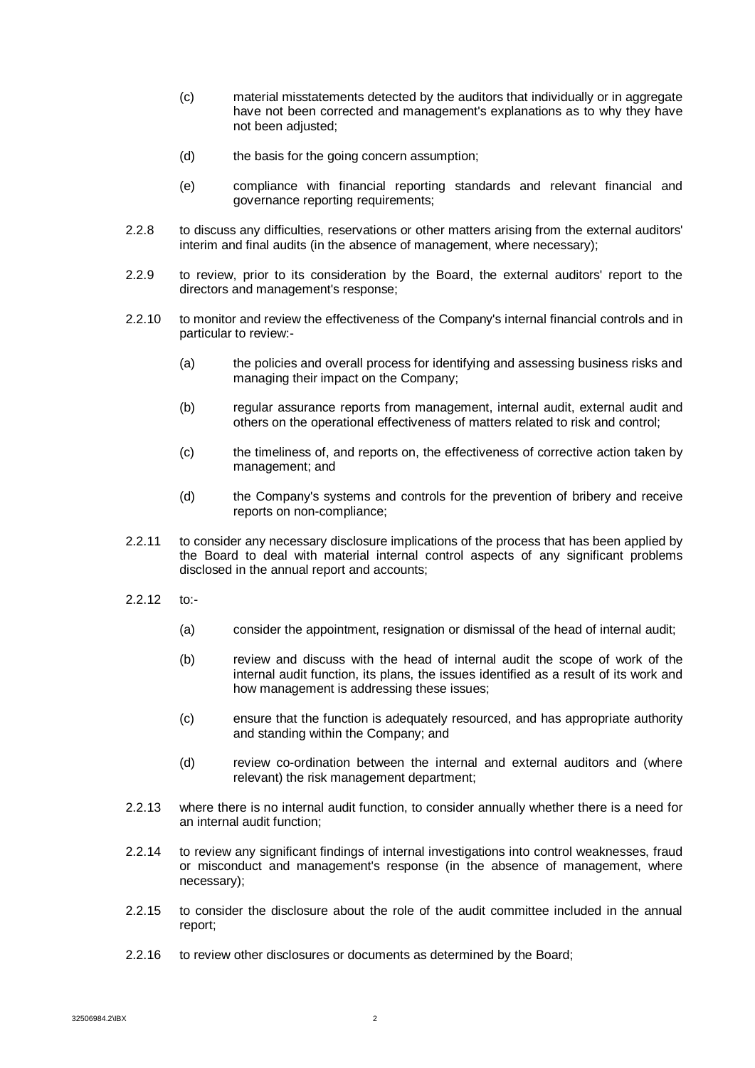- (c) material misstatements detected by the auditors that individually or in aggregate have not been corrected and management's explanations as to why they have not been adjusted:
- (d) the basis for the going concern assumption;
- (e) compliance with financial reporting standards and relevant financial and governance reporting requirements;
- 2.2.8 to discuss any difficulties, reservations or other matters arising from the external auditors' interim and final audits (in the absence of management, where necessary);
- 2.2.9 to review, prior to its consideration by the Board, the external auditors' report to the directors and management's response;
- 2.2.10 to monitor and review the effectiveness of the Company's internal financial controls and in particular to review:-
	- (a) the policies and overall process for identifying and assessing business risks and managing their impact on the Company;
	- (b) regular assurance reports from management, internal audit, external audit and others on the operational effectiveness of matters related to risk and control;
	- (c) the timeliness of, and reports on, the effectiveness of corrective action taken by management; and
	- (d) the Company's systems and controls for the prevention of bribery and receive reports on non-compliance;
- 2.2.11 to consider any necessary disclosure implications of the process that has been applied by the Board to deal with material internal control aspects of any significant problems disclosed in the annual report and accounts;
- $2.212$  to:-
	- (a) consider the appointment, resignation or dismissal of the head of internal audit;
	- (b) review and discuss with the head of internal audit the scope of work of the internal audit function, its plans, the issues identified as a result of its work and how management is addressing these issues;
	- (c) ensure that the function is adequately resourced, and has appropriate authority and standing within the Company; and
	- (d) review co-ordination between the internal and external auditors and (where relevant) the risk management department;
- 2.2.13 where there is no internal audit function, to consider annually whether there is a need for an internal audit function;
- 2.2.14 to review any significant findings of internal investigations into control weaknesses, fraud or misconduct and management's response (in the absence of management, where necessary);
- 2.2.15 to consider the disclosure about the role of the audit committee included in the annual report;
- 2.2.16 to review other disclosures or documents as determined by the Board;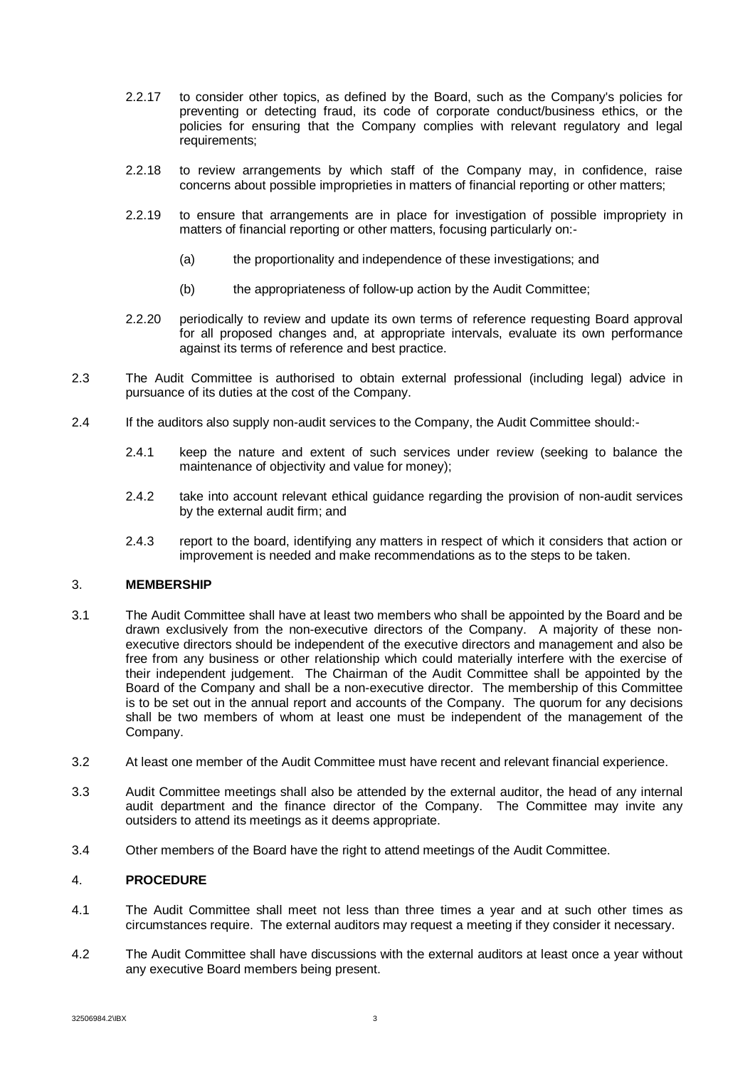- 2.2.17 to consider other topics, as defined by the Board, such as the Company's policies for preventing or detecting fraud, its code of corporate conduct/business ethics, or the policies for ensuring that the Company complies with relevant regulatory and legal requirements;
- 2.2.18 to review arrangements by which staff of the Company may, in confidence, raise concerns about possible improprieties in matters of financial reporting or other matters;
- 2.2.19 to ensure that arrangements are in place for investigation of possible impropriety in matters of financial reporting or other matters, focusing particularly on:-
	- (a) the proportionality and independence of these investigations; and
	- (b) the appropriateness of follow-up action by the Audit Committee;
- 2.2.20 periodically to review and update its own terms of reference requesting Board approval for all proposed changes and, at appropriate intervals, evaluate its own performance against its terms of reference and best practice.
- 2.3 The Audit Committee is authorised to obtain external professional (including legal) advice in pursuance of its duties at the cost of the Company.
- 2.4 If the auditors also supply non-audit services to the Company, the Audit Committee should:-
	- 2.4.1 keep the nature and extent of such services under review (seeking to balance the maintenance of objectivity and value for money);
	- 2.4.2 take into account relevant ethical guidance regarding the provision of non-audit services by the external audit firm; and
	- 2.4.3 report to the board, identifying any matters in respect of which it considers that action or improvement is needed and make recommendations as to the steps to be taken.

# 3. **MEMBERSHIP**

- 3.1 The Audit Committee shall have at least two members who shall be appointed by the Board and be drawn exclusively from the non-executive directors of the Company. A majority of these nonexecutive directors should be independent of the executive directors and management and also be free from any business or other relationship which could materially interfere with the exercise of their independent judgement. The Chairman of the Audit Committee shall be appointed by the Board of the Company and shall be a non-executive director. The membership of this Committee is to be set out in the annual report and accounts of the Company. The quorum for any decisions shall be two members of whom at least one must be independent of the management of the Company.
- 3.2 At least one member of the Audit Committee must have recent and relevant financial experience.
- 3.3 Audit Committee meetings shall also be attended by the external auditor, the head of any internal audit department and the finance director of the Company. The Committee may invite any outsiders to attend its meetings as it deems appropriate.
- 3.4 Other members of the Board have the right to attend meetings of the Audit Committee.

# 4. **PROCEDURE**

- 4.1 The Audit Committee shall meet not less than three times a year and at such other times as circumstances require. The external auditors may request a meeting if they consider it necessary.
- 4.2 The Audit Committee shall have discussions with the external auditors at least once a year without any executive Board members being present.